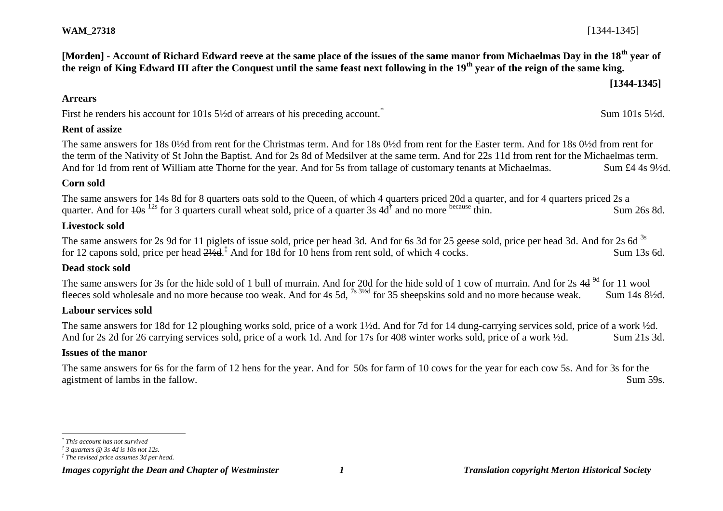**[Morden] - Account of Richard Edward reeve at the same place of the issues of the same manor from Michaelmas Day in the 18th year of the reign of King Edward III after the Conquest until the same feast next following in the 19th year of the reign of the same king.**

**[1344-1345]**

Sum 101s 5½d.

#### **Arrears**

First he renders his account for 101s  $5\frac{1}{2}$ d of arrears of his preceding account.<sup>\*</sup>

## **Rent of assize**

The same answers for 18s 0½d from rent for the Christmas term. And for 18s 0½d from rent for the Easter term. And for 18s 0½d from rent for the term of the Nativity of St John the Baptist. And for 2s 8d of Medsilver at the same term. And for 22s 11d from rent for the Michaelmas term. And for 1d from rent of William atte Thorne for the year. And for 5s from tallage of customary tenants at Michaelmas. Sum £4 4s 9<sup>1</sup>/2d.

## **Corn sold**

The same answers for 14s 8d for 8 quarters oats sold to the Queen, of which 4 quarters priced 20d a quarter, and for 4 quarters priced 2s a quarter. And for  $\frac{10s}{12s}$  for 3 quarters curall wheat sold, price of a quarter 3s 4d<sup>†</sup> and no more because thin. Sum 26s 8d.

## **Livestock sold**

The same answers for 2s 9d for 11 piglets of issue sold, price per head 3d. And for 6s 3d for 25 geese sold, price per head 3d. And for 2s 6d 3s for 12 capons sold, price per head  $2\frac{1}{2}$ d.<sup>‡</sup> And for 18d for 10 hens from rent sold, of which 4 cocks. Sum 13s 6d.

## **Dead stock sold**

The same answers for 3s for the hide sold of 1 bull of murrain. And for 20d for the hide sold of 1 cow of murrain. And for 2s 4d <sup>9d</sup> for 11 wool fleeces sold wholesale and no more because too weak. And for 4s 5d, <sup>7s 3½d</sup> for 35 sheepskins sold <del>and no more because weak</del>. Sum 14s 8½d.

## **Labour services sold**

The same answers for 18d for 12 ploughing works sold, price of a work 1½d. And for 7d for 14 dung-carrying services sold, price of a work ½d. And for 2s 2d for 26 carrying services sold, price of a work 1d. And for 17s for 408 winter works sold, price of a work ½d. Sum 21s 3d.

## **Issues of the manor**

The same answers for 6s for the farm of 12 hens for the year. And for 50s for farm of 10 cows for the year for each cow 5s. And for 3s for the agistment of lambs in the fallow. Sum 59s.

l

*Images copyright the Dean and Chapter of Westminster 1 Translation copyright Merton Historical Society*

*<sup>\*</sup> This account has not survived*

*<sup>†</sup> 3 quarters @ 3s 4d is 10s not 12s.*

*<sup>‡</sup> The revised price assumes 3d per head.*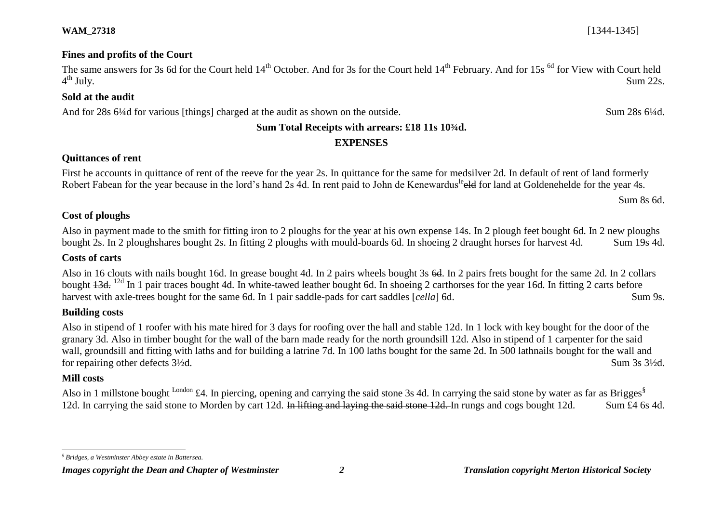## **WAM\_27318** [1344-1345]

# **Fines and profits of the Court**

The same answers for 3s 6d for the Court held 14<sup>th</sup> October. And for 3s for the Court held 14<sup>th</sup> February. And for 15s <sup>6d</sup> for View with Court held  $4^{\text{th}}$  July.  $t<sup>th</sup>$  July. Sum 22s.

## **Sold at the audit**

And for 28s 6¼d for various [things] charged at the audit as shown on the outside. Sum 28s 6¼d.

## **Sum Total Receipts with arrears: £18 11s 10¾d.**

## **EXPENSES**

# **Quittances of rent**

First he accounts in quittance of rent of the reeve for the year 2s. In quittance for the same for medsilver 2d. In default of rent of land formerly Robert Fabean for the year because in the lord's hand 2s 4d. In rent paid to John de Kenewardus<sup>le</sup> eld for land at Goldenehelde for the year 4s.

Sum 8s 6d.

## **Cost of ploughs**

Also in payment made to the smith for fitting iron to 2 ploughs for the year at his own expense 14s. In 2 plough feet bought 6d. In 2 new ploughs bought 2s. In 2 ploughshares bought 2s. In fitting 2 ploughs with mould-boards 6d. In shoeing 2 draught horses for harvest 4d. Sum 19s 4d.

## **Costs of carts**

Also in 16 clouts with nails bought 16d. In grease bought 4d. In 2 pairs wheels bought 3s 6d. In 2 pairs frets bought for the same 2d. In 2 collars bought  $13d$ , <sup>12d</sup> In 1 pair traces bought 4d. In white-tawed leather bought 6d. In shoeing 2 carthorses for the year 16d. In fitting 2 carts before harvest with axle-trees bought for the same 6d. In 1 pair saddle-pads for cart saddles [*cella*] 6d. Sum 9s.

## **Building costs**

Also in stipend of 1 roofer with his mate hired for 3 days for roofing over the hall and stable 12d. In 1 lock with key bought for the door of the granary 3d. Also in timber bought for the wall of the barn made ready for the north groundsill 12d. Also in stipend of 1 carpenter for the said wall, groundsill and fitting with laths and for building a latrine 7d. In 100 laths bought for the same 2d. In 500 lathnails bought for the wall and for repairing other defects  $3\frac{1}{2}d$ . Sum 3s  $3\frac{1}{2}d$ .

## **Mill costs**

l

Also in 1 millstone bought <sup>London</sup> £4. In piercing, opening and carrying the said stone 3s 4d. In carrying the said stone by water as far as Brigges<sup>§</sup> 12d. In carrying the said stone to Morden by cart 12d. In lifting and laying the said stone 12d. In rungs and cogs bought 12d. Sum £4 6s 4d.

*<sup>§</sup> Bridges, a Westminster Abbey estate in Battersea.*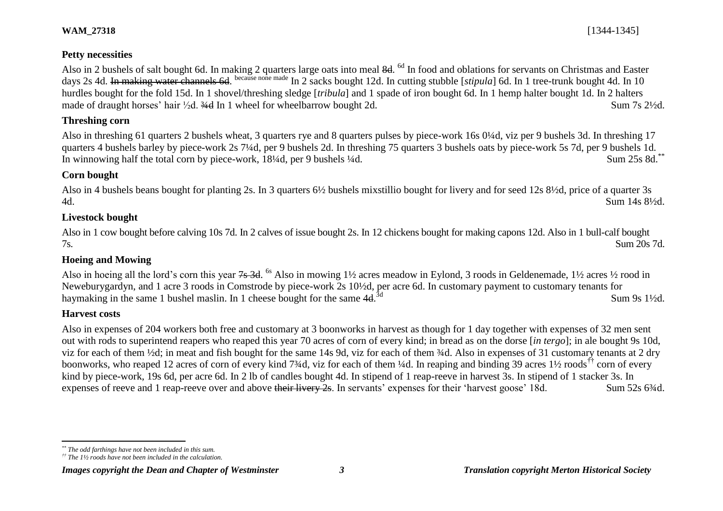# **Petty necessities**

Also in 2 bushels of salt bought 6d. In making 2 quarters large oats into meal 8d. <sup>6d</sup> In food and oblations for servants on Christmas and Easter days 2s 4d. In making water channels 6d. because none made In 2 sacks bought 12d. In cutting stubble [*stipula*] 6d. In 1 tree-trunk bought 4d. In 10 hurdles bought for the fold 15d. In 1 shovel/threshing sledge [*tribula*] and 1 spade of iron bought 6d. In 1 hemp halter bought 1d. In 2 halters made of draught horses' hair <sup>1</sup>/<sub>2</sub>d. <sup>3/4</sup>d In 1 wheel for wheelbarrow bought 2d. Sum 7s 2<sup>1</sup>/2d.

# **Threshing corn**

Also in threshing 61 quarters 2 bushels wheat, 3 quarters rye and 8 quarters pulses by piece-work 16s 0¼d, viz per 9 bushels 3d. In threshing 17 quarters 4 bushels barley by piece-work 2s 7¼d, per 9 bushels 2d. In threshing 75 quarters 3 bushels oats by piece-work 5s 7d, per 9 bushels 1d. In winnowing half the total corn by piece-work, 18¼d, per 9 bushels ¼d. Sum 25s 8d.\*\*

## **Corn bought**

Also in 4 bushels beans bought for planting 2s. In 3 quarters 6½ bushels mixstillio bought for livery and for seed 12s 8½d, price of a quarter 3s 4d. Sum 14s 8½d.

# **Livestock bought**

Also in 1 cow bought before calving 10s 7d. In 2 calves of issue bought 2s. In 12 chickens bought for making capons 12d. Also in 1 bull-calf bought 7s. Sum 20s 7d.

# **Hoeing and Mowing**

Also in hoeing all the lord's corn this year 7s 3d. <sup>6s</sup> Also in mowing 1½ acres meadow in Eylond, 3 roods in Geldenemade, 1½ acres ½ rood in Neweburygardyn, and 1 acre 3 roods in Comstrode by piece-work 2s 10½d, per acre 6d. In customary payment to customary tenants for haymaking in the same 1 bushel maslin. In 1 cheese bought for the same  $4d^{3d}$ Sum 9s 1½d.

## **Harvest costs**

Also in expenses of 204 workers both free and customary at 3 boonworks in harvest as though for 1 day together with expenses of 32 men sent out with rods to superintend reapers who reaped this year 70 acres of corn of every kind; in bread as on the dorse [*in tergo*]; in ale bought 9s 10d, viz for each of them ½d; in meat and fish bought for the same 14s 9d, viz for each of them ¾d. Also in expenses of 31 customary tenants at 2 dry boonworks, who reaped 12 acres of corn of every kind 7¼d, viz for each of them ¼d. In reaping and binding 39 acres 1½ roods<sup>††</sup> corn of every kind by piece-work, 19s 6d, per acre 6d. In 2 lb of candles bought 4d. In stipend of 1 reap-reeve in harvest 3s. In stipend of 1 stacker 3s. In expenses of reeve and 1 reap-reeve over and above their livery 2s. In servants' expenses for their 'harvest goose' 18d. Sum 52s 6¾d.

## *Images copyright the Dean and Chapter of Westminster 3 Translation copyright Merton Historical Society*

 $\overline{a}$ *\*\* The odd farthings have not been included in this sum.*

*<sup>††</sup> The 1½ roods have not been included in the calculation.*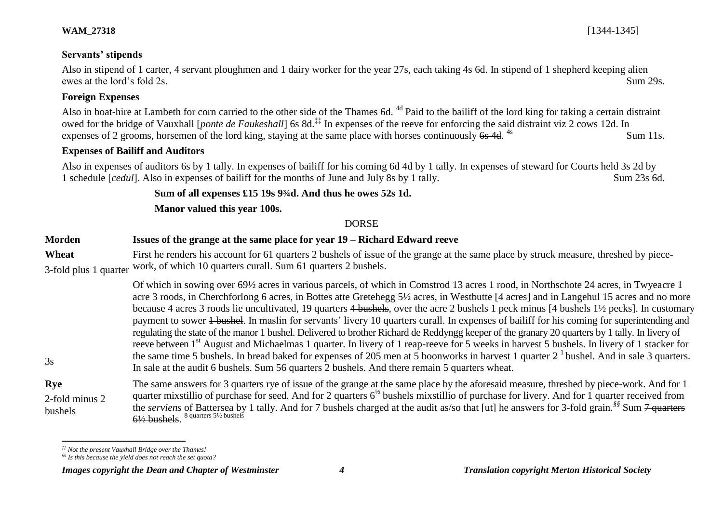## **WAM\_27318** [1344-1345]

## **Servants' stipends**

Also in stipend of 1 carter, 4 servant ploughmen and 1 dairy worker for the year 27s, each taking 4s 6d. In stipend of 1 shepherd keeping alien ewes at the lord's fold 2s. Sum 29s.

## **Foreign Expenses**

3s

 $\overline{a}$ 

Also in boat-hire at Lambeth for corn carried to the other side of the Thames 6d, <sup>4d</sup> Paid to the bailiff of the lord king for taking a certain distraint owed for the bridge of Vauxhall [*ponte de Faukeshall*] 6s 8d.<sup>‡‡</sup> In expenses of the reeve for enforcing the said distraint <del>viz 2 cows 12d</del>. In expenses of 2 grooms, horsemen of the lord king, staying at the same place with horses continuously  $6s$  4d. Sum 11s.

## **Expenses of Bailiff and Auditors**

Also in expenses of auditors 6s by 1 tally. In expenses of bailiff for his coming 6d 4d by 1 tally. In expenses of steward for Courts held 3s 2d by 1 schedule [*cedul*]. Also in expenses of bailiff for the months of June and July 8s by 1 tally. Sum 23s 6d.

**Sum of all expenses £15 19s 9¾d. And thus he owes 52s 1d.** 

**Manor valued this year 100s.**

# DORSE

# **Morden Issues of the grange at the same place for year 19 – Richard Edward reeve**

**Wheat** 3-fold plus 1 quarter First he renders his account for 61 quarters 2 bushels of issue of the grange at the same place by struck measure, threshed by piecework, of which 10 quarters curall. Sum 61 quarters 2 bushels.

> Of which in sowing over 69½ acres in various parcels, of which in Comstrod 13 acres 1 rood, in Northschote 24 acres, in Twyeacre 1 acre 3 roods, in Cherchforlong 6 acres, in Bottes atte Gretehegg 5½ acres, in Westbutte [4 acres] and in Langehul 15 acres and no more because 4 acres 3 roods lie uncultivated, 19 quarters 4 bushels, over the acre 2 bushels 1 peck minus [4 bushels 1½ pecks]. In customary payment to sower <del>1 bushel</del>. In maslin for servants' livery 10 quarters curall. In expenses of bailiff for his coming for superintending and regulating the state of the manor 1 bushel. Delivered to brother Richard de Reddyngg keeper of the granary 20 quarters by 1 tally. In livery of reeve between 1<sup>st</sup> August and Michaelmas 1 quarter. In livery of 1 reap-reeve for 5 weeks in harvest 5 bushels. In livery of 1 stacker for the same time 5 bushels. In bread baked for expenses of 205 men at 5 boonworks in harvest 1 quarter  $2<sup>1</sup>$  bushel. And in sale 3 quarters. In sale at the audit 6 bushels. Sum 56 quarters 2 bushels. And there remain 5 quarters wheat.

**Rye** 2-fold minus 2 bushels The same answers for 3 quarters rye of issue of the grange at the same place by the aforesaid measure, threshed by piece-work. And for 1 quarter mixstillio of purchase for seed. And for 2 quarters  $6^{1/2}$  bushels mixstillio of purchase for livery. And for 1 quarter received from the *serviens* of Battersea by 1 tally. And for 7 bushels charged at the audit as/so that [ut] he answers for 3-fold grain*. §§* Sum 7 quarters  $6\frac{1}{2}$  bushels.  $^8$  quarters 5½ bushels

*<sup>‡‡</sup> Not the present Vauxhall Bridge over the Thames!*

*<sup>§§</sup> Is this because the yield does not reach the set quota?* 

*Images copyright the Dean and Chapter of Westminster 4 Translation copyright Merton Historical Society*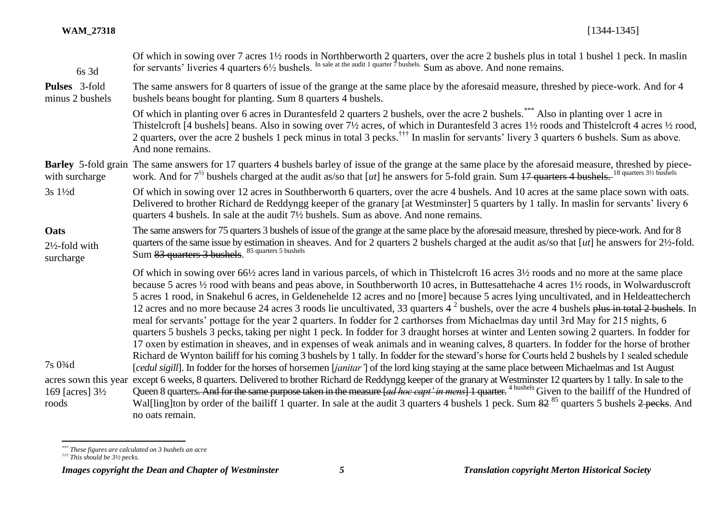| $6s$ 3d                                        | Of which in sowing over 7 acres 1½ roods in Northberworth 2 quarters, over the acre 2 bushels plus in total 1 bushel 1 peck. In maslin for servants' liveries 4 quarters 6½ bushels. In sale at the audit 1 quarter 7 bushels                                                                                                                                                                                                                                                                                                                                                                                                                                                                                                                                                                                                                                                                                                                                                                            |
|------------------------------------------------|----------------------------------------------------------------------------------------------------------------------------------------------------------------------------------------------------------------------------------------------------------------------------------------------------------------------------------------------------------------------------------------------------------------------------------------------------------------------------------------------------------------------------------------------------------------------------------------------------------------------------------------------------------------------------------------------------------------------------------------------------------------------------------------------------------------------------------------------------------------------------------------------------------------------------------------------------------------------------------------------------------|
| Pulses 3-fold<br>minus 2 bushels               | The same answers for 8 quarters of issue of the grange at the same place by the aforesaid measure, threshed by piece-work. And for 4<br>bushels beans bought for planting. Sum 8 quarters 4 bushels.                                                                                                                                                                                                                                                                                                                                                                                                                                                                                                                                                                                                                                                                                                                                                                                                     |
|                                                | Of which in planting over 6 acres in Durantesfeld 2 quarters 2 bushels, over the acre 2 bushels. <sup>***</sup> Also in planting over 1 acre in<br>Thistelcroft [4 bushels] beans. Also in sowing over 7½ acres, of which in Durantesfeld 3 acres 1½ roods and Thistelcroft 4 acres ½ rood,<br>2 quarters, over the acre 2 bushels 1 peck minus in total 3 pecks. <sup>†††</sup> In maslin for servants' livery 3 quarters 6 bushels. Sum as above.<br>And none remains.                                                                                                                                                                                                                                                                                                                                                                                                                                                                                                                                 |
| with surcharge                                 | Barley 5-fold grain The same answers for 17 quarters 4 bushels barley of issue of the grange at the same place by the aforesaid measure, threshed by piece-<br>work. And for $7^{1/2}$ bushels charged at the audit as/so that [ut] he answers for 5-fold grain. Sum $17$ quarters 4 bushels. <sup>18 quarters 31/2</sup> bushels                                                                                                                                                                                                                                                                                                                                                                                                                                                                                                                                                                                                                                                                        |
| 3s 11/2d                                       | Of which in sowing over 12 acres in Southberworth 6 quarters, over the acre 4 bushels. And 10 acres at the same place sown with oats.<br>Delivered to brother Richard de Reddyngg keeper of the granary [at Westminster] 5 quarters by 1 tally. In maslin for servants' livery 6<br>quarters 4 bushels. In sale at the audit 7 <sup>1</sup> / <sub>2</sub> bushels. Sum as above. And none remains.                                                                                                                                                                                                                                                                                                                                                                                                                                                                                                                                                                                                      |
| Oats<br>$2\frac{1}{2}$ -fold with<br>surcharge | The same answers for 75 quarters 3 bushels of issue of the grange at the same place by the aforesaid measure, threshed by piece-work. And for 8<br>quarters of the same issue by estimation in sheaves. And for 2 quarters 2 bushels charged at the audit as/so that [ut] he answers for 2½-fold.<br>Sum 83 quarters 3 bushels. 85 quarters 5 bushels                                                                                                                                                                                                                                                                                                                                                                                                                                                                                                                                                                                                                                                    |
|                                                | Of which in sowing over 66½ acres land in various parcels, of which in Thistelcroft 16 acres 3½ roods and no more at the same place<br>because 5 acres 1/2 rood with beans and peas above, in Southberworth 10 acres, in Buttesattehache 4 acres 11/2 roods, in Wolwarduscroft<br>5 acres 1 rood, in Snakehul 6 acres, in Geldenehelde 12 acres and no [more] because 5 acres lying uncultivated, and in Heldeattecherch<br>12 acres and no more because 24 acres 3 roods lie uncultivated, 33 quarters $4^2$ bushels, over the acre 4 bushels plus in total 2 bushels. In<br>meal for servants' pottage for the year 2 quarters. In fodder for 2 carthorses from Michaelmas day until 3rd May for 215 nights, 6<br>quarters 5 bushels 3 pecks, taking per night 1 peck. In fodder for 3 draught horses at winter and Lenten sowing 2 quarters. In fodder for<br>17 oxen by estimation in sheaves, and in expenses of weak animals and in weaning calves, 8 quarters. In fodder for the horse of brother |
| 7s 03/4d                                       | Richard de Wynton bailiff for his coming 3 bushels by 1 tally. In fodder for the steward's horse for Courts held 2 bushels by 1 sealed schedule<br>[cedul sigill]. In fodder for the horses of horsemen [janitar'] of the lord king staying at the same place between Michaelmas and 1st August                                                                                                                                                                                                                                                                                                                                                                                                                                                                                                                                                                                                                                                                                                          |
| 169 [ $acres$ ] $3\frac{1}{2}$<br>roods        | acres sown this year except 6 weeks, 8 quarters. Delivered to brother Richard de Reddyngg keeper of the granary at Westminster 12 quarters by 1 tally. In sale to the<br>Queen 8 quarters. And for the same purpose taken in the measure [ <i>ad hoc capt' in mens</i> ] 1 quarter. <sup>4 bushels</sup> Given to the bailiff of the Hundred of<br>Wal[ling]ton by order of the bailiff 1 quarter. In sale at the audit 3 quarters 4 bushels 1 peck. Sum 82 <sup>85</sup> quarters 5 bushels 2 pecks. And<br>no oats remain.                                                                                                                                                                                                                                                                                                                                                                                                                                                                             |

*<sup>\*\*\*</sup> These figures are calculated on 3 bushels an acre*

 $\overline{a}$ 

*<sup>†††</sup> This should be 3½ pecks.*

*Images copyright the Dean and Chapter of Westminster 5 Translation copyright Merton Historical Society*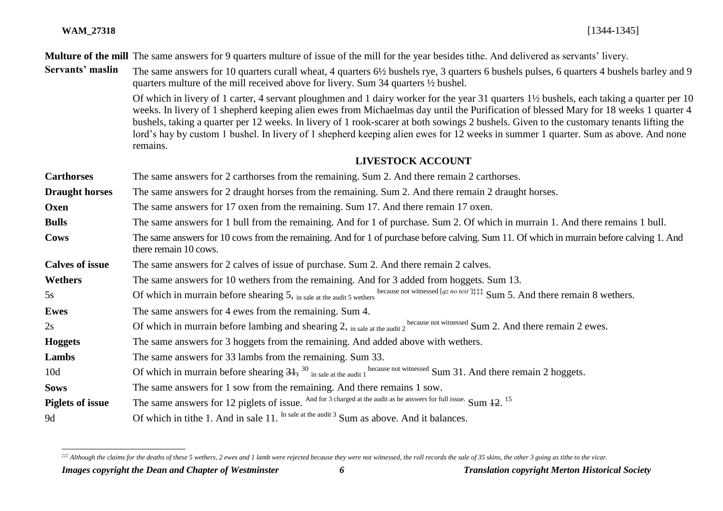l

**Multure of the mill** The same answers for 9 quarters multure of issue of the mill for the year besides tithe. And delivered as servants' livery.

**Servants' maslin** The same answers for 10 quarters curall wheat, 4 quarters 6½ bushels rye, 3 quarters 6 bushels pulses, 6 quarters 4 bushels barley and 9 quarters multure of the mill received above for livery. Sum 34 quarters ½ bushel.

> Of which in livery of 1 carter, 4 servant ploughmen and 1 dairy worker for the year 31 quarters 1½ bushels, each taking a quarter per 10 weeks. In livery of 1 shepherd keeping alien ewes from Michaelmas day until the Purification of blessed Mary for 18 weeks 1 quarter 4 bushels, taking a quarter per 12 weeks. In livery of 1 rook-scarer at both sowings 2 bushels. Given to the customary tenants lifting the lord's hay by custom 1 bushel. In livery of 1 shepherd keeping alien ewes for 12 weeks in summer 1 quarter. Sum as above. And none remains.

## **LIVESTOCK ACCOUNT**

| <b>Carthorses</b>       | The same answers for 2 carthorses from the remaining. Sum 2. And there remain 2 carthorses.                                                                       |
|-------------------------|-------------------------------------------------------------------------------------------------------------------------------------------------------------------|
| <b>Draught horses</b>   | The same answers for 2 draught horses from the remaining. Sum 2. And there remain 2 draught horses.                                                               |
| Oxen                    | The same answers for 17 oxen from the remaining. Sum 17. And there remain 17 oxen.                                                                                |
| <b>Bulls</b>            | The same answers for 1 bull from the remaining. And for 1 of purchase. Sum 2. Of which in murrain 1. And there remains 1 bull.                                    |
| <b>Cows</b>             | The same answers for 10 cows from the remaining. And for 1 of purchase before calving. Sum 11. Of which in murrain before calving 1. And<br>there remain 10 cows. |
| <b>Calves of issue</b>  | The same answers for 2 calves of issue of purchase. Sum 2. And there remain 2 calves.                                                                             |
| <b>Wethers</b>          | The same answers for 10 wethers from the remaining. And for 3 added from hoggets. Sum 13.                                                                         |
| 5s                      | Of which in murrain before shearing 5, in sale at the audit 5 wethers because not witnessed [qz no test] <sup>1111</sup> Sum 5. And there remain 8 wethers.       |
| <b>Ewes</b>             | The same answers for 4 ewes from the remaining. Sum 4.                                                                                                            |
| 2s                      | Of which in murrain before lambing and shearing 2, in sale at the audit 2 <sup>because not witnessed</sup> Sum 2. And there remain 2 ewes.                        |
| <b>Hoggets</b>          | The same answers for 3 hoggets from the remaining. And added above with wethers.                                                                                  |
| Lambs                   | The same answers for 33 lambs from the remaining. Sum 33.                                                                                                         |
| 10 <sub>d</sub>         | Of which in murrain before shearing $31$ , $30$ in sale at the audit 1 because not witnessed Sum 31. And there remain 2 hoggets.                                  |
| <b>Sows</b>             | The same answers for 1 sow from the remaining. And there remains 1 sow.                                                                                           |
| <b>Piglets of issue</b> | The same answers for 12 piglets of issue. And for 3 charged at the audit as he answers for full issue. Sum 12. <sup>15</sup>                                      |
| 9d                      | Of which in tithe 1. And in sale 11. In sale at the audit 3 Sum as above. And it balances.                                                                        |

*<sup>‡‡‡</sup> Although the claims for the deaths of these 5 wethers, 2 ewes and 1 lamb were rejected because they were not witnessed, the roll records the sale of 35 skins, the other 3 going as tithe to the vicar.*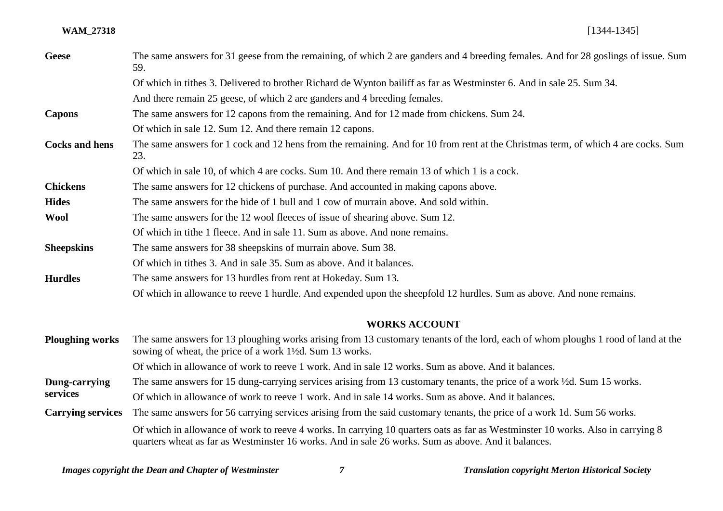#### **WAM\_27318** [1344-1345]

| <b>Geese</b>           | The same answers for 31 geese from the remaining, of which 2 are ganders and 4 breeding females. And for 28 goslings of issue. Sum<br>59.                                                    |
|------------------------|----------------------------------------------------------------------------------------------------------------------------------------------------------------------------------------------|
|                        | Of which in tithes 3. Delivered to brother Richard de Wynton bailiff as far as Westminster 6. And in sale 25. Sum 34.                                                                        |
|                        | And there remain 25 geese, of which 2 are ganders and 4 breeding females.                                                                                                                    |
| <b>Capons</b>          | The same answers for 12 capons from the remaining. And for 12 made from chickens. Sum 24.                                                                                                    |
|                        | Of which in sale 12. Sum 12. And there remain 12 capons.                                                                                                                                     |
| <b>Cocks and hens</b>  | The same answers for 1 cock and 12 hens from the remaining. And for 10 from rent at the Christmas term, of which 4 are cocks. Sum<br>23.                                                     |
|                        | Of which in sale 10, of which 4 are cocks. Sum 10. And there remain 13 of which 1 is a cock.                                                                                                 |
| <b>Chickens</b>        | The same answers for 12 chickens of purchase. And accounted in making capons above.                                                                                                          |
| <b>Hides</b>           | The same answers for the hide of 1 bull and 1 cow of murrain above. And sold within.                                                                                                         |
| <b>Wool</b>            | The same answers for the 12 wool fleeces of issue of shearing above. Sum 12.                                                                                                                 |
|                        | Of which in tithe 1 fleece. And in sale 11. Sum as above. And none remains.                                                                                                                  |
| <b>Sheepskins</b>      | The same answers for 38 sheepskins of murrain above. Sum 38.                                                                                                                                 |
|                        | Of which in tithes 3. And in sale 35. Sum as above. And it balances.                                                                                                                         |
| <b>Hurdles</b>         | The same answers for 13 hurdles from rent at Hokeday. Sum 13.                                                                                                                                |
|                        | Of which in allowance to reeve 1 hurdle. And expended upon the sheepfold 12 hurdles. Sum as above. And none remains.                                                                         |
|                        | <b>WORKS ACCOUNT</b>                                                                                                                                                                         |
| <b>Ploughing works</b> | The same answers for 13 ploughing works arising from 13 customary tenants of the lord, each of whom ploughs 1 rood of land at the<br>sowing of wheat, the price of a work 1½d. Sum 13 works. |
|                        | Of which in allowance of work to reeve 1 work. And in sale 12 works. Sum as above. And it balances.                                                                                          |
| Dung-carrying          | The same answers for 15 dung-carrying services arising from 13 customary tenants, the price of a work ½d. Sum 15 works.                                                                      |

**services** Of which in allowance of work to reeve 1 work. And in sale 14 works. Sum as above. And it balances.

**Carrying services** The same answers for 56 carrying services arising from the said customary tenants, the price of a work 1d. Sum 56 works. Of which in allowance of work to reeve 4 works. In carrying 10 quarters oats as far as Westminster 10 works. Also in carrying 8 quarters wheat as far as Westminster 16 works. And in sale 26 works. Sum as above. And it balances.